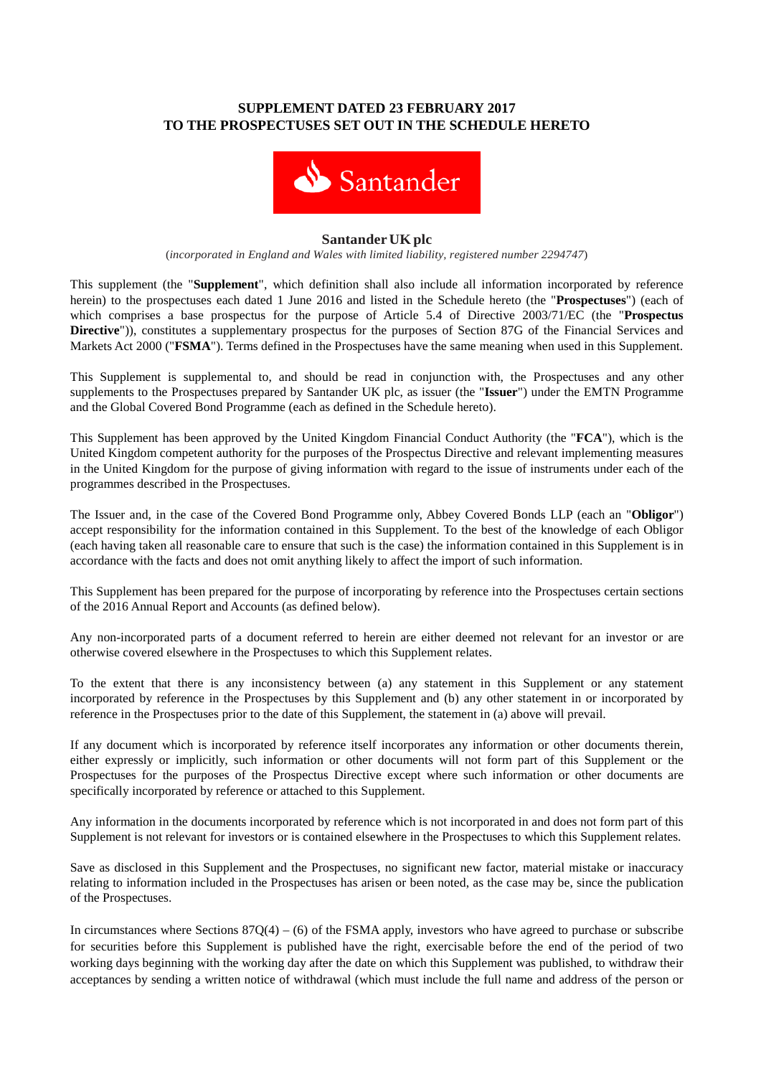# **SUPPLEMENT DATED 23 FEBRUARY 2017 TO THE PROSPECTUSES SET OUT IN THE SCHEDULE HERETO**



### **SantanderUKplc**

(*incorporated in England and Wales with limited liability, registered number 2294747*)

This supplement (the "**Supplement**", which definition shall also include all information incorporated by reference herein) to the prospectuses each dated 1 June 2016 and listed in the Schedule hereto (the "**Prospectuses**") (each of which comprises a base prospectus for the purpose of Article 5.4 of Directive 2003/71/EC (the "**Prospectus Directive**")), constitutes a supplementary prospectus for the purposes of Section 87G of the Financial Services and Markets Act 2000 ("**FSMA**"). Terms defined in the Prospectuses have the same meaning when used in this Supplement.

This Supplement is supplemental to, and should be read in conjunction with, the Prospectuses and any other supplements to the Prospectuses prepared by Santander UK plc, as issuer (the "**Issuer**") under the EMTN Programme and the Global Covered Bond Programme (each as defined in the Schedule hereto).

This Supplement has been approved by the United Kingdom Financial Conduct Authority (the "**FCA**"), which is the United Kingdom competent authority for the purposes of the Prospectus Directive and relevant implementing measures in the United Kingdom for the purpose of giving information with regard to the issue of instruments under each of the programmes described in the Prospectuses.

The Issuer and, in the case of the Covered Bond Programme only, Abbey Covered Bonds LLP (each an "**Obligor**") accept responsibility for the information contained in this Supplement. To the best of the knowledge of each Obligor (each having taken all reasonable care to ensure that such is the case) the information contained in this Supplement is in accordance with the facts and does not omit anything likely to affect the import of such information.

This Supplement has been prepared for the purpose of incorporating by reference into the Prospectuses certain sections of the 2016 Annual Report and Accounts (as defined below).

Any non-incorporated parts of a document referred to herein are either deemed not relevant for an investor or are otherwise covered elsewhere in the Prospectuses to which this Supplement relates.

To the extent that there is any inconsistency between (a) any statement in this Supplement or any statement incorporated by reference in the Prospectuses by this Supplement and (b) any other statement in or incorporated by reference in the Prospectuses prior to the date of this Supplement, the statement in (a) above will prevail.

If any document which is incorporated by reference itself incorporates any information or other documents therein, either expressly or implicitly, such information or other documents will not form part of this Supplement or the Prospectuses for the purposes of the Prospectus Directive except where such information or other documents are specifically incorporated by reference or attached to this Supplement.

Any information in the documents incorporated by reference which is not incorporated in and does not form part of this Supplement is not relevant for investors or is contained elsewhere in the Prospectuses to which this Supplement relates.

Save as disclosed in this Supplement and the Prospectuses, no significant new factor, material mistake or inaccuracy relating to information included in the Prospectuses has arisen or been noted, as the case may be, since the publication of the Prospectuses.

In circumstances where Sections  $87Q(4) - (6)$  of the FSMA apply, investors who have agreed to purchase or subscribe for securities before this Supplement is published have the right, exercisable before the end of the period of two working days beginning with the working day after the date on which this Supplement was published, to withdraw their acceptances by sending a written notice of withdrawal (which must include the full name and address of the person or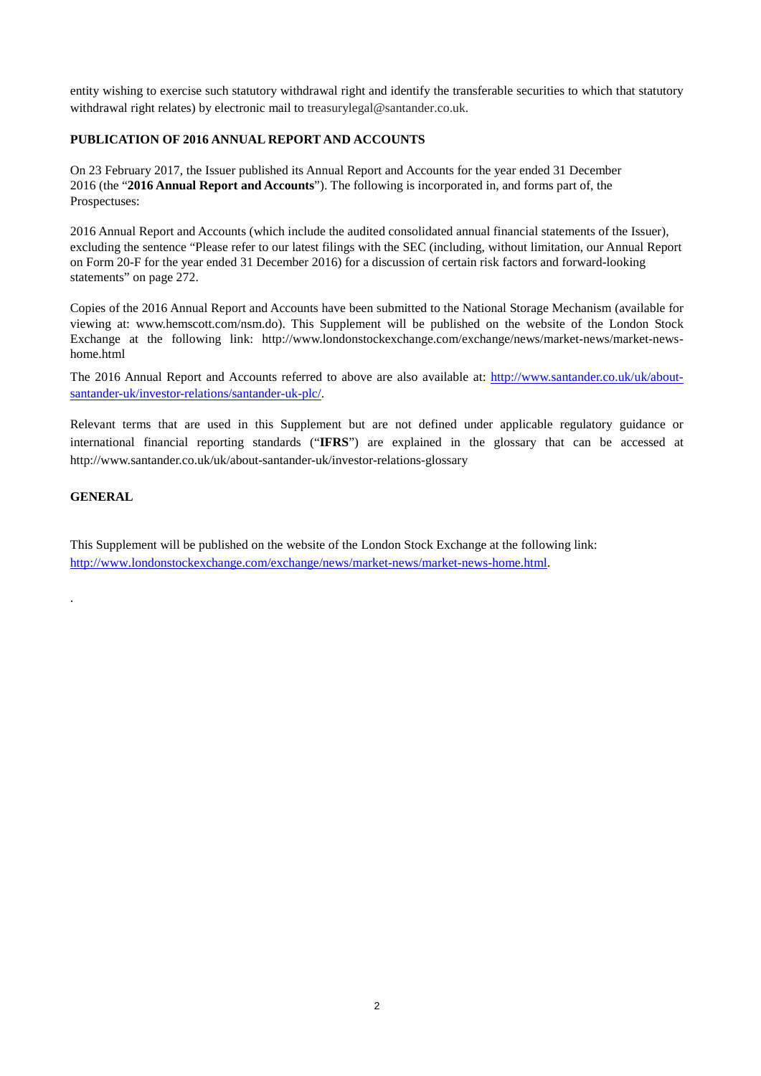entity wishing to exercise such statutory withdrawal right and identify the transferable securities to which that statutory withdrawal right relates) by electronic mail to treasurylegal@santander.co.uk.

## **PUBLICATION OF 2016 ANNUAL REPORT AND ACCOUNTS**

On 23 February 2017, the Issuer published its Annual Report and Accounts for the year ended 31 December 2016 (the "**2016 Annual Report and Accounts**"). The following is incorporated in, and forms part of, the Prospectuses:

2016 Annual Report and Accounts (which include the audited consolidated annual financial statements of the Issuer), excluding the sentence "Please refer to our latest filings with the SEC (including, without limitation, our Annual Report on Form 20-F for the year ended 31 December 2016) for a discussion of certain risk factors and forward-looking statements" on page 272.

Copies of the 2016 Annual Report and Accounts have been submitted to the National Storage Mechanism (available for viewing at: www.hemscott.com/nsm.do). This Supplement will be published on the website of the London Stock Exchange at the following link: http://www.londonstockexchange.com/exchange/news/market-news/market-newshome.html

The 2016 Annual Report and Accounts referred to above are also available at: [http://www.santander.co.uk/uk/about](http://www.santander.co.uk/uk/about-santander-uk/investor-relations/santander-uk-plc/)[santander-uk/investor-relations/santander-uk-plc/.](http://www.santander.co.uk/uk/about-santander-uk/investor-relations/santander-uk-plc/)

Relevant terms that are used in this Supplement but are not defined under applicable regulatory guidance or international financial reporting standards ("**IFRS**") are explained in the glossary that can be accessed at http://www.santander.co.uk/uk/about-santander-uk/investor-relations-glossary

# **GENERAL**

.

This Supplement will be published on the website of the London Stock Exchange at the following link: [http://www.londonstockexchange.com/exchange/news/market-news/market-news-home.html.](http://www.londonstockexchange.com/exchange/news/market-news/market-news-home.html)